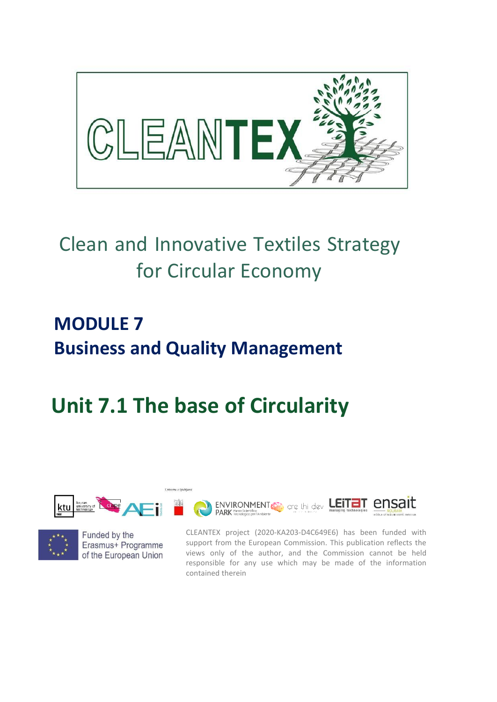

## Clean and Innovative Textiles Strategy for Circular Economy

## **MODULE 7 Business and Quality Management**

# **Unit 7.1 The base of Circularity**





Funded by the Erasmus+ Programme of the European Union CLEANTEX project (2020-KA203-D4C649E6) has been funded with support from the European Commission. This publication reflects the views only of the author, and the Commission cannot be held responsible for any use which may be made of the information contained therein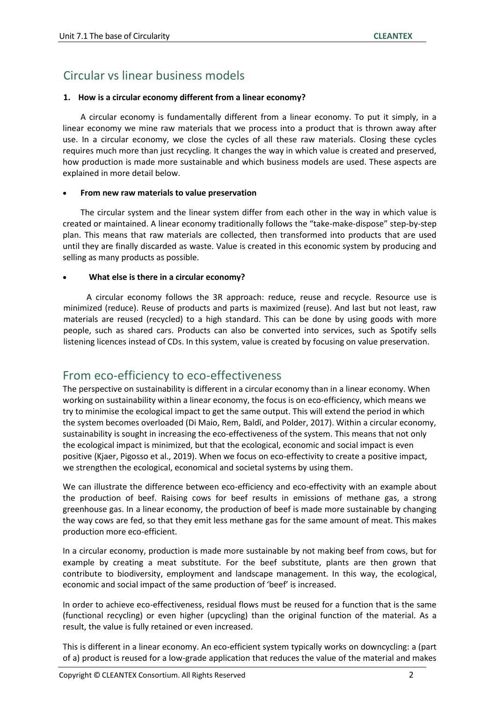### Circular vs linear business models

#### **1. How is a circular economy different from a linear economy?**

A circular economy is fundamentally different from a linear economy. To put it simply, in a linear economy we mine raw materials that we process into a product that is thrown away after use. In a circular economy, we close the cycles of all these raw materials. Closing these cycles requires much more than just recycling. It changes the way in which value is created and preserved, how production is made more sustainable and which business models are used. These aspects are explained in more detail below.

#### • **From new raw materials to value preservation**

The circular system and the linear system differ from each other in the way in which value is created or maintained. A linear economy traditionally follows the "take-make-dispose" step-by-step plan. This means that raw materials are collected, then transformed into products that are used until they are finally discarded as waste. Value is created in this economic system by producing and selling as many products as possible.

### • **What else is there in a circular economy?**

A circular economy follows the 3R approach: reduce, reuse and recycle. Resource use is minimized (reduce). Reuse of products and parts is maximized (reuse). And last but not least, raw materials are reused (recycled) to a high standard. This can be done by using goods with more people, such as shared cars. Products can also be converted into services, such as Spotify sells listening licences instead of CDs. In this system, value is created by focusing on value preservation.

### From eco-efficiency to eco-effectiveness

The perspective on sustainability is different in a circular economy than in a linear economy. When working on sustainability within a linear economy, the focus is on eco-efficiency, which means we try to minimise the ecological impact to get the same output. This will extend the period in which the system becomes overloaded (Di Maio, Rem, Baldï, and Polder, 2017). Within a circular economy, sustainability is sought in increasing the eco-effectiveness of the system. This means that not only the ecological impact is minimized, but that the ecological, economic and social impact is even positive (Kjaer, Pigosso et al., 2019). When we focus on eco-effectivity to create a positive impact, we strengthen the ecological, economical and societal systems by using them.

We can illustrate the difference between eco-efficiency and eco-effectivity with an example about the production of beef. Raising cows for beef results in emissions of methane gas, a strong greenhouse gas. In a linear economy, the production of beef is made more sustainable by changing the way cows are fed, so that they emit less methane gas for the same amount of meat. This makes production more eco-efficient.

In a circular economy, production is made more sustainable by not making beef from cows, but for example by creating a meat substitute. For the beef substitute, plants are then grown that contribute to biodiversity, employment and landscape management. In this way, the ecological, economic and social impact of the same production of 'beef' is increased.

In order to achieve eco-effectiveness, residual flows must be reused for a function that is the same (functional recycling) or even higher (upcycling) than the original function of the material. As a result, the value is fully retained or even increased.

This is different in a linear economy. An eco-efficient system typically works on downcycling: a (part of a) product is reused for a low-grade application that reduces the value of the material and makes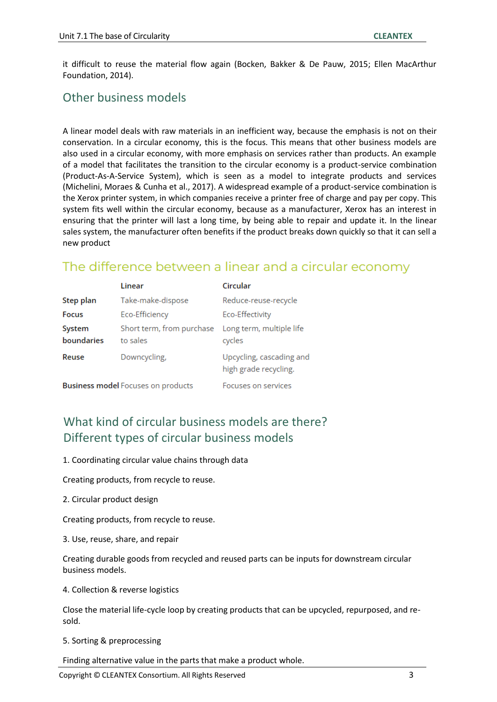it difficult to reuse the material flow again (Bocken, Bakker & De Pauw, 2015; Ellen MacArthur Foundation, 2014).

### Other business models

A linear model deals with raw materials in an inefficient way, because the emphasis is not on their conservation. In a circular economy, this is the focus. This means that other business models are also used in a circular economy, with more emphasis on services rather than products. An example of a model that facilitates the transition to the circular economy is a product-service combination (Product-As-A-Service System), which is seen as a model to integrate products and services (Michelini, Moraes & Cunha et al., 2017). A widespread example of a product-service combination is the Xerox printer system, in which companies receive a printer free of charge and pay per copy. This system fits well within the circular economy, because as a manufacturer, Xerox has an interest in ensuring that the printer will last a long time, by being able to repair and update it. In the linear sales system, the manufacturer often benefits if the product breaks down quickly so that it can sell a new product

### The difference between a linear and a circular economy

|                                           | Linear                    | Circular                                          |
|-------------------------------------------|---------------------------|---------------------------------------------------|
| Step plan                                 | Take-make-dispose         | Reduce-reuse-recycle                              |
| <b>Focus</b>                              | Eco-Efficiency            | Eco-Effectivity                                   |
| System                                    | Short term, from purchase | Long term, multiple life                          |
| boundaries                                | to sales                  | cycles                                            |
| Reuse                                     | Downcycling,              | Upcycling, cascading and<br>high grade recycling. |
| <b>Business model</b> Focuses on products |                           | <b>Encuses on services</b>                        |

### What kind of circular business models are there? Different types of circular business models

1. Coordinating circular value chains through data

Creating products, from recycle to reuse.

2. Circular product design

Creating products, from recycle to reuse.

3. Use, reuse, share, and repair

Creating durable goods from recycled and reused parts can be inputs for downstream circular business models.

4. Collection & reverse logistics

Close the material life-cycle loop by creating products that can be upcycled, repurposed, and resold.

5. Sorting & preprocessing

Finding alternative value in the parts that make a product whole.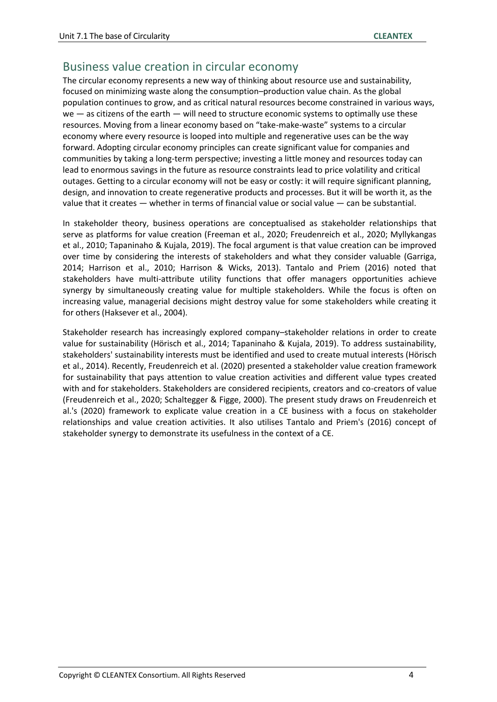### Business value creation in circular economy

The circular economy represents a new way of thinking about resource use and sustainability, focused on minimizing waste along the consumption–production value chain. As the global population continues to grow, and as critical natural resources become constrained in various ways,  $we$  — as citizens of the earth — will need to structure economic systems to optimally use these resources. Moving from a linear economy based on "take-make-waste" systems to a circular economy where every resource is looped into multiple and regenerative uses can be the way forward. Adopting circular economy principles can create significant value for companies and communities by taking a long-term perspective; investing a little money and resources today can lead to enormous savings in the future as resource constraints lead to price volatility and critical outages. Getting to a circular economy will not be easy or costly: it will require significant planning, design, and innovation to create regenerative products and processes. But it will be worth it, as the value that it creates — whether in terms of financial value or social value — can be substantial.

In stakeholder theory, business operations are conceptualised as stakeholder relationships that serve as platforms for value creation (Freeman et al., 2020; Freudenreich et al., 2020; Myllykangas et al., 2010; Tapaninaho & Kujala, 2019). The focal argument is that value creation can be improved over time by considering the interests of stakeholders and what they consider valuable (Garriga, 2014; Harrison et al., 2010; Harrison & Wicks, 2013). Tantalo and Priem (2016) noted that stakeholders have multi-attribute utility functions that offer managers opportunities achieve synergy by simultaneously creating value for multiple stakeholders. While the focus is often on increasing value, managerial decisions might destroy value for some stakeholders while creating it for others (Haksever et al., 2004).

Stakeholder research has increasingly explored company–stakeholder relations in order to create value for sustainability (Hörisch et al., 2014; Tapaninaho & Kujala, 2019). To address sustainability, stakeholders' sustainability interests must be identified and used to create mutual interests (Hörisch et al., 2014). Recently, Freudenreich et al. (2020) presented a stakeholder value creation framework for sustainability that pays attention to value creation activities and different value types created with and for stakeholders. Stakeholders are considered recipients, creators and co-creators of value (Freudenreich et al., 2020; Schaltegger & Figge, 2000). The present study draws on Freudenreich et al.'s (2020) framework to explicate value creation in a CE business with a focus on stakeholder relationships and value creation activities. It also utilises Tantalo and Priem's (2016) concept of stakeholder synergy to demonstrate its usefulness in the context of a CE.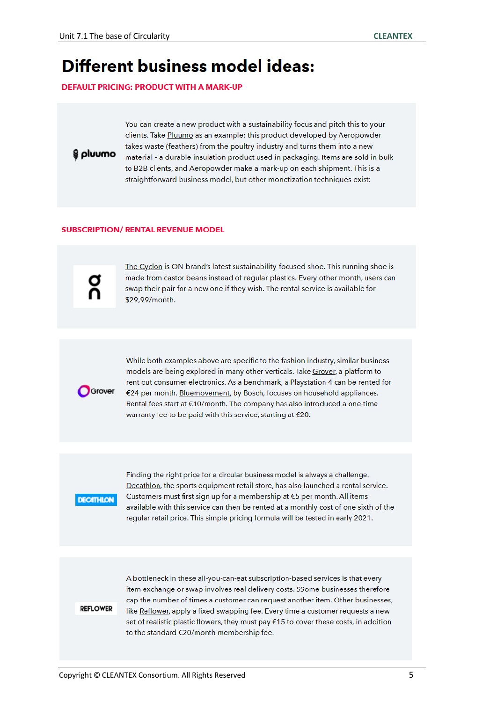## **Different business model ideas:**

**DEFAULT PRICING: PRODUCT WITH A MARK-UP** 

omuuno

You can create a new product with a sustainability focus and pitch this to your clients. Take Pluumo as an example: this product developed by Aeropowder takes waste (feathers) from the poultry industry and turns them into a new material - a durable insulation product used in packaging. Items are sold in bulk to B2B clients, and Aeropowder make a mark-up on each shipment. This is a straightforward business model, but other monetization techniques exist:

#### **SUBSCRIPTION/ RENTAL REVENUE MODEL**

The Cyclon is ON-brand's latest sustainability-focused shoe. This running shoe is made from castor beans instead of regular plastics. Every other month, users can swap their pair for a new one if they wish. The rental service is available for \$29,99/month.



While both examples above are specific to the fashion industry, similar business models are being explored in many other verticals. Take Grover, a platform to rent out consumer electronics. As a benchmark, a Playstation 4 can be rented for €24 per month. Bluemovement, by Bosch, focuses on household appliances. Rental fees start at €10/month. The company has also introduced a one-time warranty fee to be paid with this service, starting at €20.



Finding the right price for a circular business model is always a challenge. Decathlon, the sports equipment retail store, has also launched a rental service. Customers must first sign up for a membership at €5 per month. All items available with this service can then be rented at a monthly cost of one sixth of the regular retail price. This simple pricing formula will be tested in early 2021.

#### **REFLOWER**

A bottleneck in these all-you-can-eat subscription-based services is that every item exchange or swap involves real delivery costs. SSome businesses therefore cap the number of times a customer can request another item. Other businesses, like Reflower, apply a fixed swapping fee. Every time a customer requests a new set of realistic plastic flowers, they must pay €15 to cover these costs, in addition to the standard €20/month membership fee.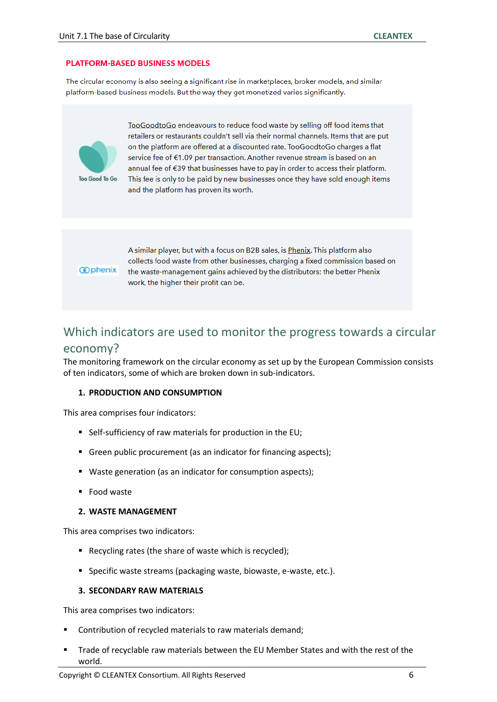#### **PLATFORM-BASED BUSINESS MODELS**

The circular economy is also seeing a significant rise in marketplaces, broker models, and similar platform-based business models. But the way they get monetized varies significantly.



TooGoodtoGo endeavours to reduce food waste by selling off food items that retailers or restaurants couldn't sell via their normal channels. Items that are put on the platform are offered at a discounted rate. TooGoodtoGo charges a flat service fee of €1.09 per transaction. Another revenue stream is based on an annual fee of €39 that businesses have to pay in order to access their platform. This fee is only to be paid by new businesses once they have sold enough items and the platform has proven its worth.

#### **@phenix**

A similar player, but with a focus on B2B sales, is Phenix. This platform also collects food waste from other businesses, charging a fixed commission based on the waste-management gains achieved by the distributors: the better Phenix work, the higher their profit can be.

### Which indicators are used to monitor the progress towards a circular

### economy?

The monitoring framework on the circular economy as set up by the European Commission consists of ten indicators, some of which are broken down in sub-indicators.

#### **1. PRODUCTION AND CONSUMPTION**

This area comprises four indicators:

- Self-sufficiency of raw materials for production in the EU;
- Green public procurement (as an indicator for financing aspects);
- Waste generation (as an indicator for consumption aspects);
- Food waste

#### **2. WASTE MANAGEMENT**

This area comprises two indicators:

- Recycling rates (the share of waste which is recycled);
- Specific waste streams (packaging waste, biowaste, e-waste, etc.).

#### **3. SECONDARY RAW MATERIALS**

This area comprises two indicators:

- Contribution of recycled materials to raw materials demand;
- Trade of recyclable raw materials between the EU Member States and with the rest of the world.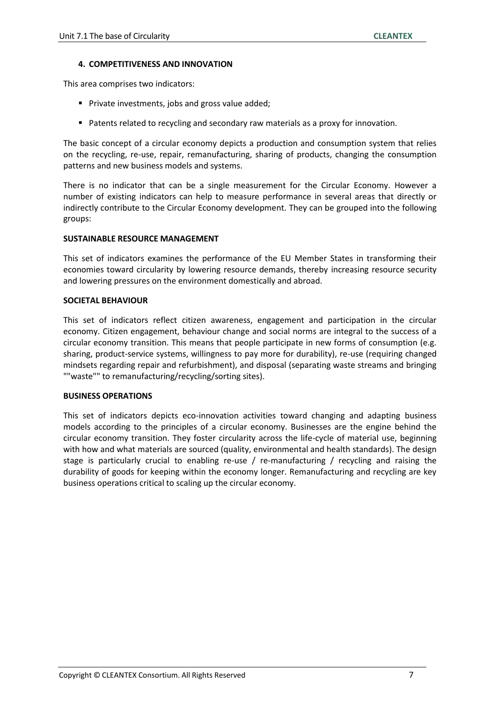#### **4. COMPETITIVENESS AND INNOVATION**

This area comprises two indicators:

- Private investments, jobs and gross value added;
- Patents related to recycling and secondary raw materials as a proxy for innovation.

The basic concept of a circular economy depicts a production and consumption system that relies on the recycling, re-use, repair, remanufacturing, sharing of products, changing the consumption patterns and new business models and systems.

There is no indicator that can be a single measurement for the Circular Economy. However a number of existing indicators can help to measure performance in several areas that directly or indirectly contribute to the Circular Economy development. They can be grouped into the following groups:

### **SUSTAINABLE RESOURCE MANAGEMENT**

This set of indicators examines the performance of the EU Member States in transforming their economies toward circularity by lowering resource demands, thereby increasing resource security and lowering pressures on the environment domestically and abroad.

#### **SOCIETAL BEHAVIOUR**

This set of indicators reflect citizen awareness, engagement and participation in the circular economy. Citizen engagement, behaviour change and social norms are integral to the success of a circular economy transition. This means that people participate in new forms of consumption (e.g. sharing, product-service systems, willingness to pay more for durability), re-use (requiring changed mindsets regarding repair and refurbishment), and disposal (separating waste streams and bringing ""waste"" to remanufacturing/recycling/sorting sites).

### **BUSINESS OPERATIONS**

This set of indicators depicts eco-innovation activities toward changing and adapting business models according to the principles of a circular economy. Businesses are the engine behind the circular economy transition. They foster circularity across the life-cycle of material use, beginning with how and what materials are sourced (quality, environmental and health standards). The design stage is particularly crucial to enabling re-use / re-manufacturing / recycling and raising the durability of goods for keeping within the economy longer. Remanufacturing and recycling are key business operations critical to scaling up the circular economy.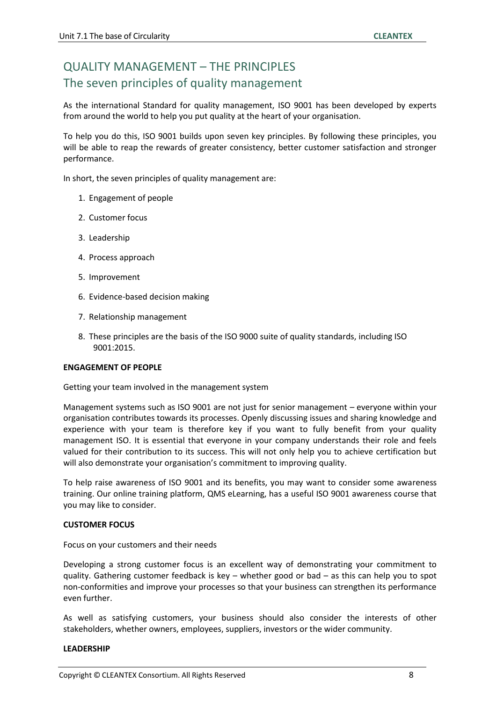### QUALITY MANAGEMENT – THE PRINCIPLES The seven principles of quality management

As the international Standard for quality management, ISO 9001 has been developed by experts from around the world to help you put quality at the heart of your organisation.

To help you do this, ISO 9001 builds upon seven key principles. By following these principles, you will be able to reap the rewards of greater consistency, better customer satisfaction and stronger performance.

In short, the seven principles of quality management are:

- 1. Engagement of people
- 2. Customer focus
- 3. Leadership
- 4. Process approach
- 5. Improvement
- 6. Evidence-based decision making
- 7. Relationship management
- 8. These principles are the basis of the ISO 9000 suite of quality standards, including ISO 9001:2015.

#### **ENGAGEMENT OF PEOPLE**

#### Getting your team involved in the management system

Management systems such as ISO 9001 are not just for senior management – everyone within your organisation contributes towards its processes. Openly discussing issues and sharing knowledge and experience with your team is therefore key if you want to fully benefit from your quality management ISO. It is essential that everyone in your company understands their role and feels valued for their contribution to its success. This will not only help you to achieve certification but will also demonstrate your organisation's commitment to improving quality.

To help raise awareness of ISO 9001 and its benefits, you may want to consider some awareness training. Our online training platform, QMS eLearning, has a useful ISO 9001 awareness course that you may like to consider.

#### **CUSTOMER FOCUS**

Focus on your customers and their needs

Developing a strong customer focus is an excellent way of demonstrating your commitment to quality. Gathering customer feedback is key – whether good or bad – as this can help you to spot non-conformities and improve your processes so that your business can strengthen its performance even further.

As well as satisfying customers, your business should also consider the interests of other stakeholders, whether owners, employees, suppliers, investors or the wider community.

#### **LEADERSHIP**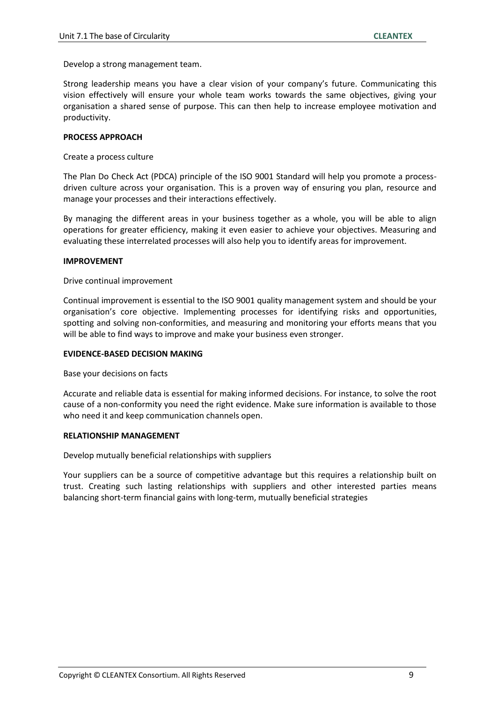Develop a strong management team.

Strong leadership means you have a clear vision of your company's future. Communicating this vision effectively will ensure your whole team works towards the same objectives, giving your organisation a shared sense of purpose. This can then help to increase employee motivation and productivity.

#### **PROCESS APPROACH**

Create a process culture

The Plan Do Check Act (PDCA) principle of the ISO 9001 Standard will help you promote a processdriven culture across your organisation. This is a proven way of ensuring you plan, resource and manage your processes and their interactions effectively.

By managing the different areas in your business together as a whole, you will be able to align operations for greater efficiency, making it even easier to achieve your objectives. Measuring and evaluating these interrelated processes will also help you to identify areas for improvement.

#### **IMPROVEMENT**

#### Drive continual improvement

Continual improvement is essential to the ISO 9001 quality management system and should be your organisation's core objective. Implementing processes for identifying risks and opportunities, spotting and solving non-conformities, and measuring and monitoring your efforts means that you will be able to find ways to improve and make your business even stronger.

#### **EVIDENCE-BASED DECISION MAKING**

Base your decisions on facts

Accurate and reliable data is essential for making informed decisions. For instance, to solve the root cause of a non-conformity you need the right evidence. Make sure information is available to those who need it and keep communication channels open.

#### **RELATIONSHIP MANAGEMENT**

Develop mutually beneficial relationships with suppliers

Your suppliers can be a source of competitive advantage but this requires a relationship built on trust. Creating such lasting relationships with suppliers and other interested parties means balancing short-term financial gains with long-term, mutually beneficial strategies